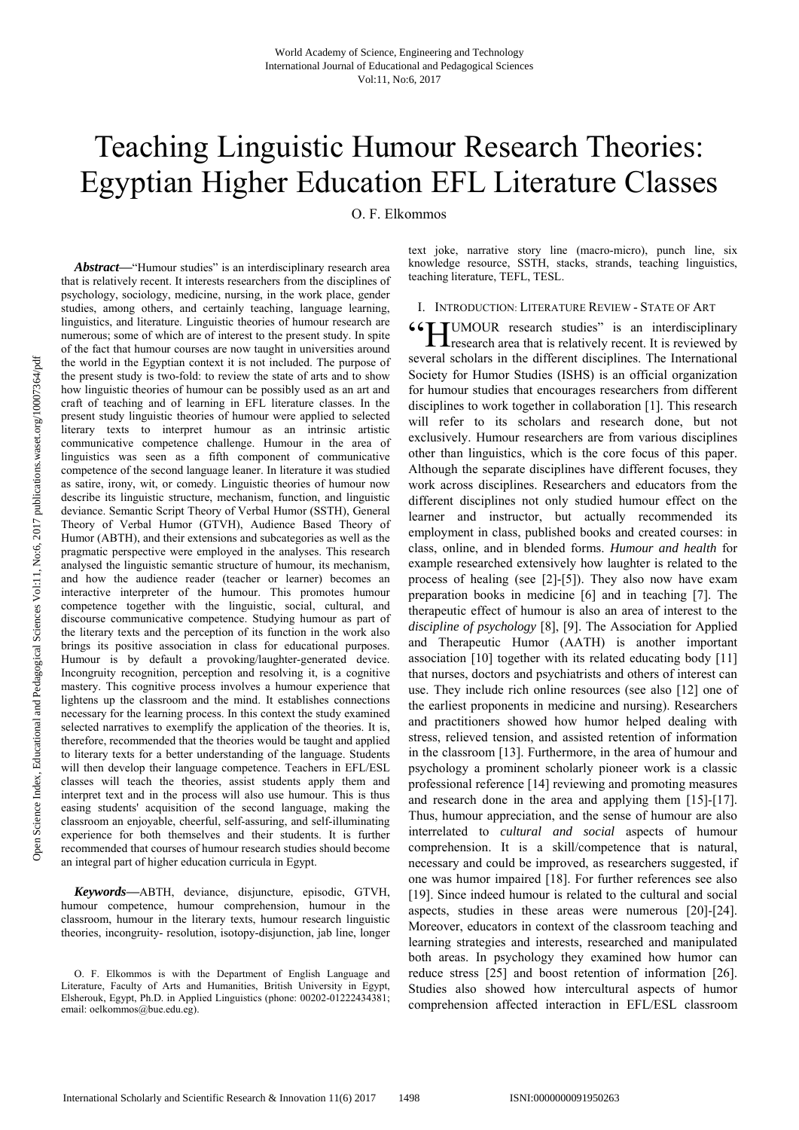# Teaching Linguistic Humour Research Theories: Egyptian Higher Education EFL Literature Classes

O. F. Elkommos

Abstract—"Humour studies" is an interdisciplinary research area that is relatively recent. It interests researchers from the disciplines of psychology, sociology, medicine, nursing, in the work place, gender studies, among others, and certainly teaching, language learning, linguistics, and literature. Linguistic theories of humour research are numerous; some of which are of interest to the present study. In spite of the fact that humour courses are now taught in universities around the world in the Egyptian context it is not included. The purpose of the present study is two-fold: to review the state of arts and to show how linguistic theories of humour can be possibly used as an art and craft of teaching and of learning in EFL literature classes. In the present study linguistic theories of humour were applied to selected literary texts to interpret humour as an intrinsic artistic communicative competence challenge. Humour in the area of linguistics was seen as a fifth component of communicative competence of the second language leaner. In literature it was studied as satire, irony, wit, or comedy. Linguistic theories of humour now describe its linguistic structure, mechanism, function, and linguistic deviance. Semantic Script Theory of Verbal Humor (SSTH), General Theory of Verbal Humor (GTVH), Audience Based Theory of Humor (ABTH), and their extensions and subcategories as well as the pragmatic perspective were employed in the analyses. This research analysed the linguistic semantic structure of humour, its mechanism, and how the audience reader (teacher or learner) becomes an interactive interpreter of the humour. This promotes humour competence together with the linguistic, social, cultural, and discourse communicative competence. Studying humour as part of the literary texts and the perception of its function in the work also brings its positive association in class for educational purposes. Humour is by default a provoking/laughter-generated device. Incongruity recognition, perception and resolving it, is a cognitive mastery. This cognitive process involves a humour experience that lightens up the classroom and the mind. It establishes connections necessary for the learning process. In this context the study examined selected narratives to exemplify the application of the theories. It is, therefore, recommended that the theories would be taught and applied to literary texts for a better understanding of the language. Students will then develop their language competence. Teachers in EFL/ESL classes will teach the theories, assist students apply them and interpret text and in the process will also use humour. This is thus easing students' acquisition of the second language, making the classroom an enjoyable, cheerful, self-assuring, and self-illuminating experience for both themselves and their students. It is further recommended that courses of humour research studies should become an integral part of higher education curricula in Egypt.

*Keywords***—**ABTH, deviance, disjuncture, episodic, GTVH, humour competence, humour comprehension, humour in the classroom, humour in the literary texts, humour research linguistic theories, incongruity- resolution, isotopy-disjunction, jab line, longer text joke, narrative story line (macro-micro), punch line, six knowledge resource, SSTH, stacks, strands, teaching linguistics, teaching literature, TEFL, TESL.

#### I. INTRODUCTION: LITERATURE REVIEW - STATE OF ART

**44 FE UMOUR** research studies" is an interdisciplinary research area that is relatively recent. It is reviewed by **L L** research area that is relatively recent. It is reviewed by several scholars in the different disciplines. The International Society for Humor Studies (ISHS) is an official organization for humour studies that encourages researchers from different disciplines to work together in collaboration [1]. This research will refer to its scholars and research done, but not exclusively. Humour researchers are from various disciplines other than linguistics, which is the core focus of this paper. Although the separate disciplines have different focuses, they work across disciplines. Researchers and educators from the different disciplines not only studied humour effect on the learner and instructor, but actually recommended its employment in class, published books and created courses: in class, online, and in blended forms. *Humour and health* for example researched extensively how laughter is related to the process of healing (see [2]-[5]). They also now have exam preparation books in medicine [6] and in teaching [7]. The therapeutic effect of humour is also an area of interest to the *discipline of psychology* [8], [9]. The Association for Applied and Therapeutic Humor (AATH) is another important association [10] together with its related educating body [11] that nurses, doctors and psychiatrists and others of interest can use. They include rich online resources (see also [12] one of the earliest proponents in medicine and nursing). Researchers and practitioners showed how humor helped dealing with stress, relieved tension, and assisted retention of information in the classroom [13]. Furthermore, in the area of humour and psychology a prominent scholarly pioneer work is a classic professional reference [14] reviewing and promoting measures and research done in the area and applying them [15]-[17]. Thus, humour appreciation, and the sense of humour are also interrelated to *cultural and social* aspects of humour comprehension. It is a skill/competence that is natural, necessary and could be improved, as researchers suggested, if one was humor impaired [18]. For further references see also [19]. Since indeed humour is related to the cultural and social aspects, studies in these areas were numerous [20]-[24]. Moreover, educators in context of the classroom teaching and learning strategies and interests, researched and manipulated both areas. In psychology they examined how humor can reduce stress [25] and boost retention of information [26]. Studies also showed how intercultural aspects of humor comprehension affected interaction in EFL/ESL classroom

O. F. Elkommos is with the Department of English Language and Literature, Faculty of Arts and Humanities, British University in Egypt, Elsherouk, Egypt, Ph.D. in Applied Linguistics (phone: 00202-01222434381; email: oelkommos@bue.edu.eg).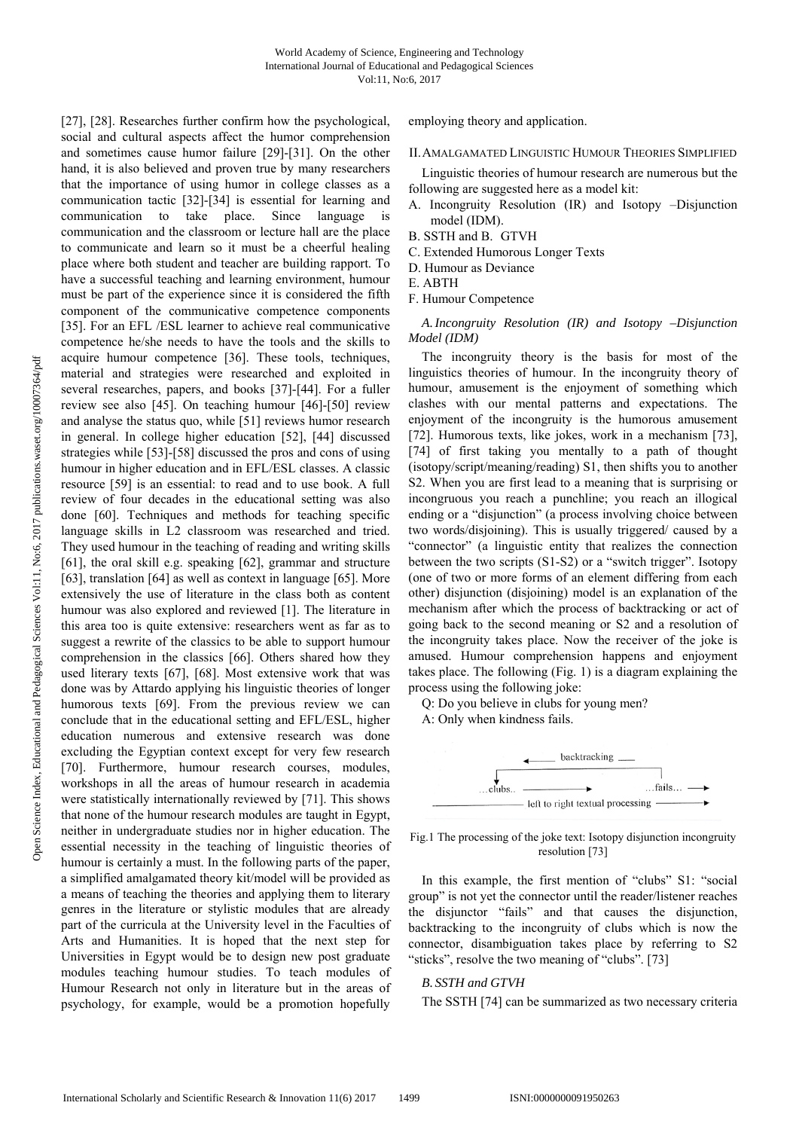[27], [28]. Researches further confirm how the psychological, social and cultural aspects affect the humor comprehension and sometimes cause humor failure [29]-[31]. On the other hand, it is also believed and proven true by many researchers that the importance of using humor in college classes as a communication tactic [32]-[34] is essential for learning and communication to take place. Since language is communication and the classroom or lecture hall are the place to communicate and learn so it must be a cheerful healing place where both student and teacher are building rapport. To have a successful teaching and learning environment, humour must be part of the experience since it is considered the fifth component of the communicative competence components [35]. For an EFL /ESL learner to achieve real communicative competence he/she needs to have the tools and the skills to acquire humour competence [36]. These tools, techniques, material and strategies were researched and exploited in several researches, papers, and books [37]-[44]. For a fuller review see also [45]. On teaching humour [46]-[50] review and analyse the status quo, while [51] reviews humor research in general. In college higher education [52], [44] discussed strategies while [53]-[58] discussed the pros and cons of using humour in higher education and in EFL/ESL classes. A classic resource [59] is an essential: to read and to use book. A full review of four decades in the educational setting was also done [60]. Techniques and methods for teaching specific language skills in L2 classroom was researched and tried. They used humour in the teaching of reading and writing skills [61], the oral skill e.g. speaking [62], grammar and structure [63], translation [64] as well as context in language [65]. More extensively the use of literature in the class both as content humour was also explored and reviewed [1]. The literature in this area too is quite extensive: researchers went as far as to suggest a rewrite of the classics to be able to support humour comprehension in the classics [66]. Others shared how they used literary texts [67], [68]. Most extensive work that was done was by Attardo applying his linguistic theories of longer humorous texts [69]. From the previous review we can conclude that in the educational setting and EFL/ESL, higher education numerous and extensive research was done excluding the Egyptian context except for very few research [70]. Furthermore, humour research courses, modules, workshops in all the areas of humour research in academia were statistically internationally reviewed by [71]. This shows that none of the humour research modules are taught in Egypt, neither in undergraduate studies nor in higher education. The essential necessity in the teaching of linguistic theories of humour is certainly a must. In the following parts of the paper, a simplified amalgamated theory kit/model will be provided as a means of teaching the theories and applying them to literary genres in the literature or stylistic modules that are already part of the curricula at the University level in the Faculties of Arts and Humanities. It is hoped that the next step for Universities in Egypt would be to design new post graduate modules teaching humour studies. To teach modules of Humour Research not only in literature but in the areas of psychology, for example, would be a promotion hopefully

employing theory and application.

#### II.AMALGAMATED LINGUISTIC HUMOUR THEORIES SIMPLIFIED

Linguistic theories of humour research are numerous but the following are suggested here as a model kit:

- A. Incongruity Resolution (IR) and Isotopy –Disjunction model (IDM).
- B. SSTH and B. GTVH
- C. Extended Humorous Longer Texts
- D. Humour as Deviance
- E. ABTH
- F. Humour Competence

*A.Incongruity Resolution (IR) and Isotopy –Disjunction Model (IDM)* 

The incongruity theory is the basis for most of the linguistics theories of humour. In the incongruity theory of humour, amusement is the enjoyment of something which clashes with our mental patterns and expectations. The enjoyment of the incongruity is the humorous amusement [72]. Humorous texts, like jokes, work in a mechanism [73], [74] of first taking you mentally to a path of thought (isotopy/script/meaning/reading) S1, then shifts you to another S2. When you are first lead to a meaning that is surprising or incongruous you reach a punchline; you reach an illogical ending or a "disjunction" (a process involving choice between two words/disjoining). This is usually triggered/ caused by a "connector" (a linguistic entity that realizes the connection between the two scripts (S1-S2) or a "switch trigger". Isotopy (one of two or more forms of an element differing from each other) disjunction (disjoining) model is an explanation of the mechanism after which the process of backtracking or act of going back to the second meaning or S2 and a resolution of the incongruity takes place. Now the receiver of the joke is amused. Humour comprehension happens and enjoyment takes place. The following (Fig. 1) is a diagram explaining the process using the following joke:

Q: Do you believe in clubs for young men?

A: Only when kindness fails.



Fig.1 The processing of the joke text: Isotopy disjunction incongruity resolution [73]

In this example, the first mention of "clubs" S1: "social group" is not yet the connector until the reader/listener reaches the disjunctor "fails" and that causes the disjunction, backtracking to the incongruity of clubs which is now the connector, disambiguation takes place by referring to S2 "sticks", resolve the two meaning of "clubs". [73]

# *B. SSTH and GTVH*

The SSTH [74] can be summarized as two necessary criteria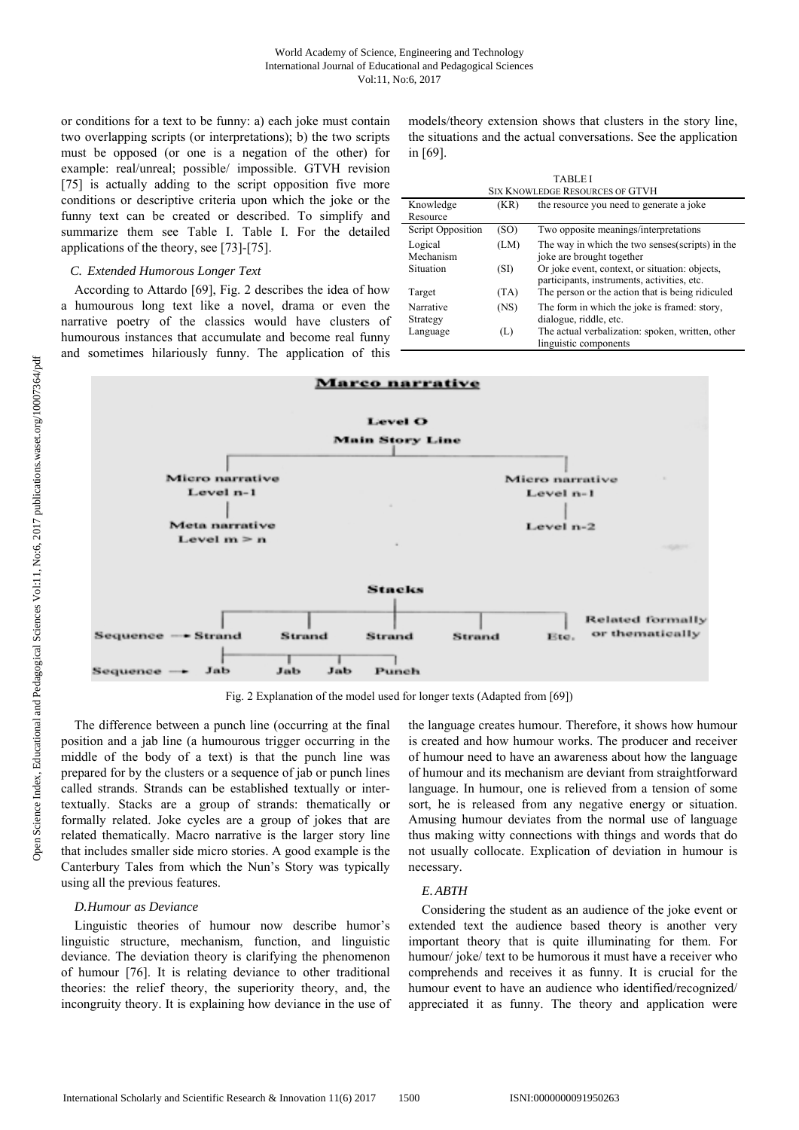or conditions for a text to be funny: a) each joke must contain two overlapping scripts (or interpretations); b) the two scripts must be opposed (or one is a negation of the other) for example: real/unreal; possible/ impossible. GTVH revision [75] is actually adding to the script opposition five more conditions or descriptive criteria upon which the joke or the funny text can be created or described. To simplify and summarize them see Table I. Table I. For the detailed applications of the theory, see [73]-[75].

#### *C. Extended Humorous Longer Text*

According to Attardo [69], Fig. 2 describes the idea of how a humourous long text like a novel, drama or even the narrative poetry of the classics would have clusters of humourous instances that accumulate and become real funny and sometimes hilariously funny. The application of this models/theory extension shows that clusters in the story line, the situations and the actual conversations. See the application in [69].

TABLE I

| <b>SIX KNOWLEDGE RESOURCES OF GTVH</b> |      |                                                                                               |
|----------------------------------------|------|-----------------------------------------------------------------------------------------------|
| Knowledge                              | (KR) | the resource you need to generate a joke                                                      |
| Resource                               |      |                                                                                               |
| Script Opposition                      | (SO) | Two opposite meanings/interpretations                                                         |
| Logical                                | (LM) | The way in which the two senses (scripts) in the                                              |
| Mechanism                              |      | joke are brought together                                                                     |
| Situation                              | (SI) | Or joke event, context, or situation: objects,<br>participants, instruments, activities, etc. |
| Target                                 | (TA) | The person or the action that is being ridiculed                                              |
| Narrative                              | (NS) | The form in which the joke is framed: story,                                                  |
| Strategy                               |      | dialogue, riddle, etc.                                                                        |
| Language                               | (L)  | The actual verbalization: spoken, written, other                                              |
|                                        |      | linguistic components                                                                         |



Fig. 2 Explanation of the model used for longer texts (Adapted from [69])

The difference between a punch line (occurring at the final position and a jab line (a humourous trigger occurring in the middle of the body of a text) is that the punch line was prepared for by the clusters or a sequence of jab or punch lines called strands. Strands can be established textually or intertextually. Stacks are a group of strands: thematically or formally related. Joke cycles are a group of jokes that are related thematically. Macro narrative is the larger story line that includes smaller side micro stories. A good example is the Canterbury Tales from which the Nun's Story was typically using all the previous features.

#### *D.Humour as Deviance*

Linguistic theories of humour now describe humor's linguistic structure, mechanism, function, and linguistic deviance. The deviation theory is clarifying the phenomenon of humour [76]. It is relating deviance to other traditional theories: the relief theory, the superiority theory, and, the incongruity theory. It is explaining how deviance in the use of the language creates humour. Therefore, it shows how humour is created and how humour works. The producer and receiver of humour need to have an awareness about how the language of humour and its mechanism are deviant from straightforward language. In humour, one is relieved from a tension of some sort, he is released from any negative energy or situation. Amusing humour deviates from the normal use of language thus making witty connections with things and words that do not usually collocate. Explication of deviation in humour is necessary.

#### *E.ABTH*

Considering the student as an audience of the joke event or extended text the audience based theory is another very important theory that is quite illuminating for them. For humour/ joke/ text to be humorous it must have a receiver who comprehends and receives it as funny. It is crucial for the humour event to have an audience who identified/recognized/ appreciated it as funny. The theory and application were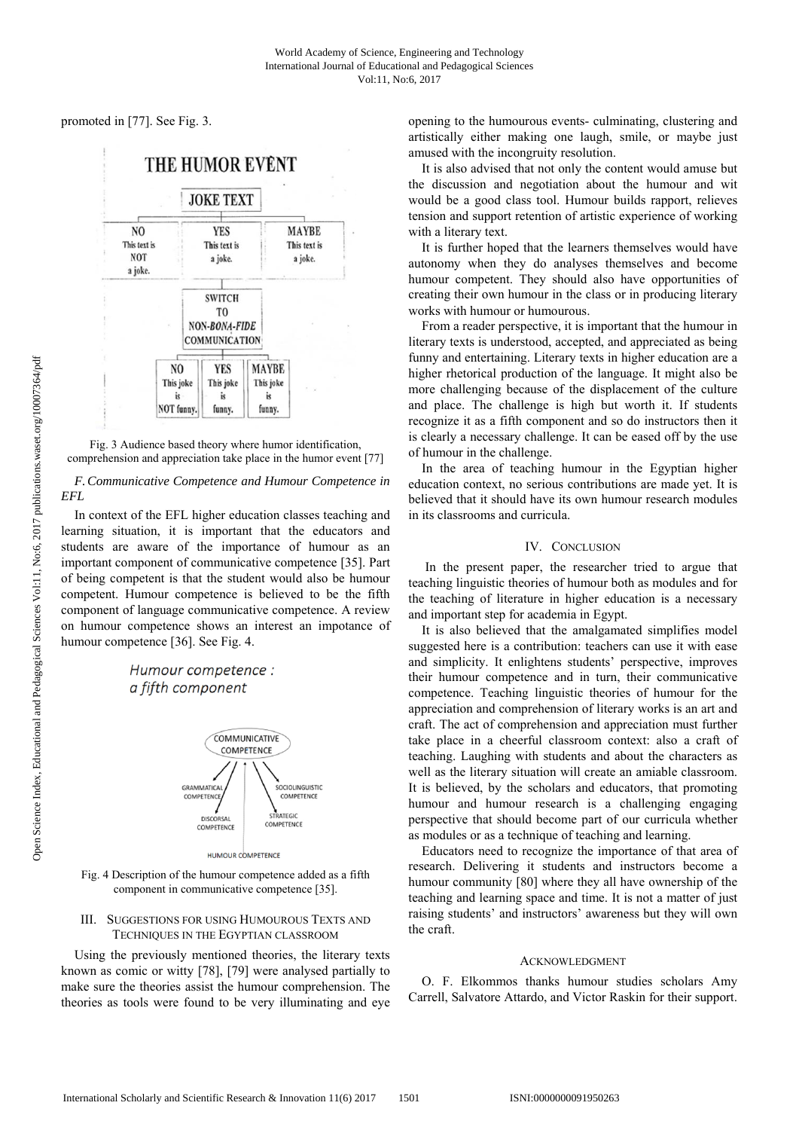promoted in [77]. See Fig. 3.



Fig. 3 Audience based theory where humor identification, comprehension and appreciation take place in the humor event [77]

*F.Communicative Competence and Humour Competence in EFL* 

In context of the EFL higher education classes teaching and learning situation, it is important that the educators and students are aware of the importance of humour as an important component of communicative competence [35]. Part of being competent is that the student would also be humour competent. Humour competence is believed to be the fifth component of language communicative competence. A review on humour competence shows an interest an impotance of humour competence [36]. See Fig. 4.

# Humour competence : a fifth component



**HUMOUR COMPETENCE** 

Fig. 4 Description of the humour competence added as a fifth component in communicative competence [35].

## III. SUGGESTIONS FOR USING HUMOUROUS TEXTS AND TECHNIQUES IN THE EGYPTIAN CLASSROOM

Using the previously mentioned theories, the literary texts known as comic or witty [78], [79] were analysed partially to make sure the theories assist the humour comprehension. The theories as tools were found to be very illuminating and eye opening to the humourous events- culminating, clustering and artistically either making one laugh, smile, or maybe just amused with the incongruity resolution.

It is also advised that not only the content would amuse but the discussion and negotiation about the humour and wit would be a good class tool. Humour builds rapport, relieves tension and support retention of artistic experience of working with a literary text.

It is further hoped that the learners themselves would have autonomy when they do analyses themselves and become humour competent. They should also have opportunities of creating their own humour in the class or in producing literary works with humour or humourous.

From a reader perspective, it is important that the humour in literary texts is understood, accepted, and appreciated as being funny and entertaining. Literary texts in higher education are a higher rhetorical production of the language. It might also be more challenging because of the displacement of the culture and place. The challenge is high but worth it. If students recognize it as a fifth component and so do instructors then it is clearly a necessary challenge. It can be eased off by the use of humour in the challenge.

In the area of teaching humour in the Egyptian higher education context, no serious contributions are made yet. It is believed that it should have its own humour research modules in its classrooms and curricula.

# IV. CONCLUSION

 In the present paper, the researcher tried to argue that teaching linguistic theories of humour both as modules and for the teaching of literature in higher education is a necessary and important step for academia in Egypt.

It is also believed that the amalgamated simplifies model suggested here is a contribution: teachers can use it with ease and simplicity. It enlightens students' perspective, improves their humour competence and in turn, their communicative competence. Teaching linguistic theories of humour for the appreciation and comprehension of literary works is an art and craft. The act of comprehension and appreciation must further take place in a cheerful classroom context: also a craft of teaching. Laughing with students and about the characters as well as the literary situation will create an amiable classroom. It is believed, by the scholars and educators, that promoting humour and humour research is a challenging engaging perspective that should become part of our curricula whether as modules or as a technique of teaching and learning.

Educators need to recognize the importance of that area of research. Delivering it students and instructors become a humour community [80] where they all have ownership of the teaching and learning space and time. It is not a matter of just raising students' and instructors' awareness but they will own the craft.

## ACKNOWLEDGMENT

O. F. Elkommos thanks humour studies scholars Amy Carrell, Salvatore Attardo, and Victor Raskin for their support.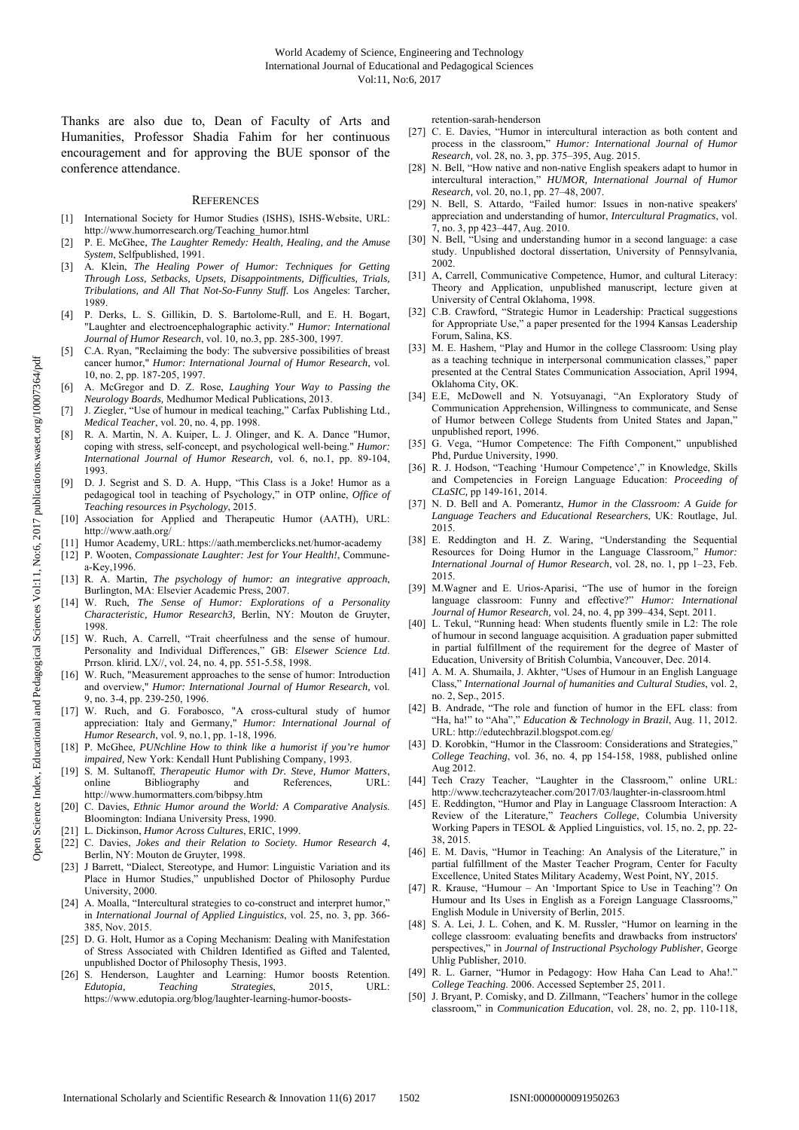Thanks are also due to, Dean of Faculty of Arts and Humanities, Professor Shadia Fahim for her continuous encouragement and for approving the BUE sponsor of the conference attendance.

#### **REFERENCES**

- [1] International Society for Humor Studies (ISHS), ISHS-Website, URL: http://www.humorresearch.org/Teaching\_humor.html
- [2] P. E. McGhee, *The Laughter Remedy: Health, Healing, and the Amuse System*, Selfpublished, 1991.
- [3] A. Klein, *The Healing Power of Humor: Techniques for Getting Through Loss, Setbacks, Upsets, Disappointments, Difficulties, Trials, Tribulations, and All That Not-So-Funny Stuff.* Los Angeles: Tarcher, 1989.
- [4] P. Derks, L. S. Gillikin, D. S. Bartolome-Rull, and E. H. Bogart, "Laughter and electroencephalographic activity." *Humor: International Journal of Humor Research*, vol. 10, no.3, pp. 285-300, 1997.
- [5] C.A. Ryan, "Reclaiming the body: The subversive possibilities of breast cancer humor," *Humor: International Journal of Humor Research*, vol. 10, no. 2, pp. 187-205, 1997.
- [6] A. McGregor and D. Z. Rose, *Laughing Your Way to Passing the Neurology Boards,* Medhumor Medical Publications, 2013.
- [7] J. Ziegler, "Use of humour in medical teaching," Carfax Publishing Ltd., *Medical Teacher*, vol. 20, no. 4, pp. 1998.
- R. A. Martin, N. A. Kuiper, L. J. Olinger, and K. A. Dance "Humor, coping with stress, self-concept, and psychological well-being." *Humor: International Journal of Humor Research,* vol. 6, no.1, pp. 89-104, 1993.
- [9] D. J. Segrist and S. D. A. Hupp, "This Class is a Joke! Humor as a pedagogical tool in teaching of Psychology," in OTP online, *Office of Teaching resources in Psychology*, 2015.
- [10] Association for Applied and Therapeutic Humor (AATH), URL: http://www.aath.org/
- [11] Humor Academy, URL: https://aath.memberclicks.net/humor-academy
- [12] P. Wooten, *Compassionate Laughter: Jest for Your Health!*, Communea-Key,1996.
- [13] R. A. Martin, *The psychology of humor: an integrative approach*, Burlington, MA: Elsevier Academic Press, 2007.
- [14] W. Ruch, *The Sense of Humor: Explorations of a Personality Characteristic, Humor Research3,* Berlin, NY: Mouton de Gruyter, 1998.
- [15] W. Ruch, A. Carrell, "Trait cheerfulness and the sense of humour. Personality and Individual Differences," GB: *Elsewer Science Ltd*. Prrson. klirid. LX//, vol. 24, no. 4, pp. 551-5.58, 1998.
- [16] W. Ruch, "Measurement approaches to the sense of humor: Introduction and overview," *Humor: International Journal of Humor Research,* vol. 9, no. 3-4, pp. 239-250, 1996.
- [17] W. Ruch, and G. Forabosco, "A cross-cultural study of humor appreciation: Italy and Germany," *Humor: International Journal of Humor Research*, vol. 9, no.1, pp. 1-18, 1996.
- [18] P. McGhee, *PUNchline How to think like a humorist if you're humor impaired,* New York: Kendall Hunt Publishing Company, 1993.
- [19] S. M. Sultanoff, *Therapeutic Humor with Dr. Steve, Humor Matters*, online Bibliography and References, URL: http://www.humormatters.com/bibpsy.htm
- [20] C. Davies, *Ethnic Humor around the World: A Comparative Analysis*. Bloomington: Indiana University Press, 1990.
- [21] L. Dickinson, *Humor Across Cultures*, ERIC, 1999.
- [22] C. Davies, *Jokes and their Relation to Society. Humor Research 4*, Berlin, NY: Mouton de Gruyter, 1998.
- [23] J Barrett, "Dialect, Stereotype, and Humor: Linguistic Variation and its Place in Humor Studies," unpublished Doctor of Philosophy Purdue University, 2000.
- [24] A. Moalla, "Intercultural strategies to co-construct and interpret humor," in *International Journal of Applied Linguistics*, vol. 25, no. 3, pp. 366- 385, Nov. 2015.
- [25] D. G. Holt, Humor as a Coping Mechanism: Dealing with Manifestation of Stress Associated with Children Identified as Gifted and Talented, unpublished Doctor of Philosophy Thesis, 1993.
- [26] S. Henderson, Laughter and Learning: Humor boosts Retention. *Edutopia, Teaching Strategies*, 2015, URL: https://www.edutopia.org/blog/laughter-learning-humor-boosts-

retention-sarah-henderson

- [27] C. E. Davies, "Humor in intercultural interaction as both content and process in the classroom," *Humor: International Journal of Humor Research,* vol. 28, no. 3, pp. 375–395, Aug. 2015.
- [28] N. Bell, "How native and non-native English speakers adapt to humor in intercultural interaction," *HUMOR, International Journal of Humor Research,* vol. 20, no.1, pp. 27–48, 2007.
- [29] N. Bell, S. Attardo, "Failed humor: Issues in non-native speakers' appreciation and understanding of humor, *Intercultural Pragmatics*, vol. 7, no. 3, pp 423–447, Aug. 2010.
- [30] N. Bell, "Using and understanding humor in a second language: a case study. Unpublished doctoral dissertation, University of Pennsylvania, 2002.
- [31] A, Carrell, Communicative Competence, Humor, and cultural Literacy: Theory and Application, unpublished manuscript, lecture given at University of Central Oklahoma, 1998.
- [32] C.B. Crawford, "Strategic Humor in Leadership: Practical suggestions for Appropriate Use," a paper presented for the 1994 Kansas Leadership Forum, Salina, KS.
- [33] M. E. Hashem, "Play and Humor in the college Classroom: Using play as a teaching technique in interpersonal communication classes," paper presented at the Central States Communication Association, April 1994, Oklahoma City, OK.
- [34] E.E, McDowell and N. Yotsuyanagi, "An Exploratory Study of Communication Apprehension, Willingness to communicate, and Sense of Humor between College Students from United States and Japan," unpublished report, 1996.
- [35] G. Vega, "Humor Competence: The Fifth Component," unpublished Phd, Purdue University, 1990.
- [36] R. J. Hodson, "Teaching 'Humour Competence'," in Knowledge, Skills and Competencies in Foreign Language Education: *Proceeding of CLaSIC,* pp 149-161, 2014.
- [37] N. D. Bell and A. Pomerantz, *Humor in the Classroom: A Guide for Language Teachers and Educational Researchers*, UK: Routlage, Jul. 2015.
- [38] E. Reddington and H. Z. Waring, "Understanding the Sequential Resources for Doing Humor in the Language Classroom," *Humor: International Journal of Humor Research*, vol. 28, no. 1, pp 1–23, Feb. 2015.
- [39] M.Wagner and E. Urios-Aparisi, "The use of humor in the foreign language classroom: Funny and effective?" *Humor: International Journal of Humor Research,* vol. 24, no. 4, pp 399–434, Sept. 2011.
- [40] L. Tekul, "Running head: When students fluently smile in L2: The role of humour in second language acquisition. A graduation paper submitted in partial fulfillment of the requirement for the degree of Master of Education, University of British Columbia, Vancouver, Dec. 2014.
- [41] A. M. A. Shumaila, J. Akhter, "Uses of Humour in an English Language Class," *International Journal of humanities and Cultural Studies*, vol. 2, no. 2, Sep., 2015.
- [42] B. Andrade, "The role and function of humor in the EFL class: from "Ha, ha!" to "Aha"," *Education & Technology in Brazil*, Aug. 11, 2012. URL: http://edutechbrazil.blogspot.com.eg/
- [43] D. Korobkin, "Humor in the Classroom: Considerations and Strategies," *College Teaching*, vol. 36, no. 4, pp 154-158, 1988, published online Aug 2012.
- [44] Tech Crazy Teacher, "Laughter in the Classroom," online URL: http://www.techcrazyteacher.com/2017/03/laughter-in-classroom.html
- [45] E. Reddington, "Humor and Play in Language Classroom Interaction: A Review of the Literature," *Teachers College*, Columbia University Working Papers in TESOL & Applied Linguistics, vol. 15, no. 2, pp. 22- 38, 2015.
- [46] E. M. Davis, "Humor in Teaching: An Analysis of the Literature," in partial fulfillment of the Master Teacher Program, Center for Faculty Excellence, United States Military Academy, West Point, NY, 2015.
- [47] R. Krause, "Humour An 'Important Spice to Use in Teaching'? On Humour and Its Uses in English as a Foreign Language Classrooms," English Module in University of Berlin, 2015.
- [48] S. A. Lei, J. L. Cohen, and K. M. Russler, "Humor on learning in the college classroom: evaluating benefits and drawbacks from instructors' perspectives," in *Journal of Instructional Psychology Publisher*, George Uhlig Publisher, 2010.
- [49] R. L. Garner, "Humor in Pedagogy: How Haha Can Lead to Aha!." *College Teaching*. 2006. Accessed September 25, 2011.
- [50] J. Bryant, P. Comisky, and D. Zillmann, "Teachers' humor in the college classroom," in *Communication Education*, vol. 28, no. 2, pp. 110-118,